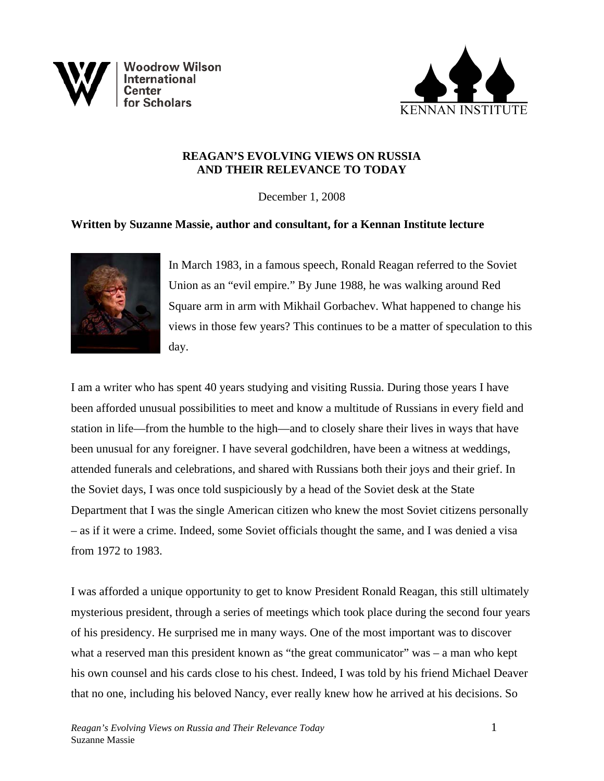



# **REAGAN'S EVOLVING VIEWS ON RUSSIA AND THEIR RELEVANCE TO TODAY**

December 1, 2008

# **Written by Suzanne Massie, author and consultant, for a Kennan Institute lecture**



In March 1983, in a famous speech, Ronald Reagan referred to the Soviet Union as an "evil empire." By June 1988, he was walking around Red Square arm in arm with Mikhail Gorbachev. What happened to change his views in those few years? This continues to be a matter of speculation to this day.

I am a writer who has spent 40 years studying and visiting Russia. During those years I have been afforded unusual possibilities to meet and know a multitude of Russians in every field and station in life—from the humble to the high—and to closely share their lives in ways that have been unusual for any foreigner. I have several godchildren, have been a witness at weddings, attended funerals and celebrations, and shared with Russians both their joys and their grief. In the Soviet days, I was once told suspiciously by a head of the Soviet desk at the State Department that I was the single American citizen who knew the most Soviet citizens personally – as if it were a crime. Indeed, some Soviet officials thought the same, and I was denied a visa from 1972 to 1983.

I was afforded a unique opportunity to get to know President Ronald Reagan, this still ultimately mysterious president, through a series of meetings which took place during the second four years of his presidency. He surprised me in many ways. One of the most important was to discover what a reserved man this president known as "the great communicator" was – a man who kept his own counsel and his cards close to his chest. Indeed, I was told by his friend Michael Deaver that no one, including his beloved Nancy, ever really knew how he arrived at his decisions. So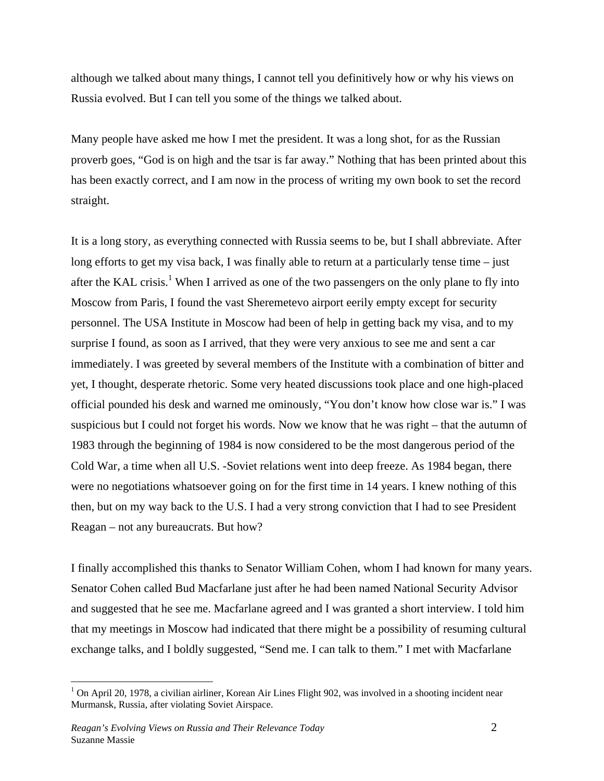although we talked about many things, I cannot tell you definitively how or why his views on Russia evolved. But I can tell you some of the things we talked about.

Many people have asked me how I met the president. It was a long shot, for as the Russian proverb goes, "God is on high and the tsar is far away." Nothing that has been printed about this has been exactly correct, and I am now in the process of writing my own book to set the record straight.

It is a long story, as everything connected with Russia seems to be, but I shall abbreviate. After long efforts to get my visa back, I was finally able to return at a particularly tense time – just after the KAL crisis.<sup>1</sup> When I arrived as one of the two passengers on the only plane to fly into Moscow from Paris, I found the vast Sheremetevo airport eerily empty except for security personnel. The USA Institute in Moscow had been of help in getting back my visa, and to my surprise I found, as soon as I arrived, that they were very anxious to see me and sent a car immediately. I was greeted by several members of the Institute with a combination of bitter and yet, I thought, desperate rhetoric. Some very heated discussions took place and one high-placed official pounded his desk and warned me ominously, "You don't know how close war is." I was suspicious but I could not forget his words. Now we know that he was right – that the autumn of 1983 through the beginning of 1984 is now considered to be the most dangerous period of the Cold War, a time when all U.S. -Soviet relations went into deep freeze. As 1984 began, there were no negotiations whatsoever going on for the first time in 14 years. I knew nothing of this then, but on my way back to the U.S. I had a very strong conviction that I had to see President Reagan – not any bureaucrats. But how?

I finally accomplished this thanks to Senator William Cohen, whom I had known for many years. Senator Cohen called Bud Macfarlane just after he had been named National Security Advisor and suggested that he see me. Macfarlane agreed and I was granted a short interview. I told him that my meetings in Moscow had indicated that there might be a possibility of resuming cultural exchange talks, and I boldly suggested, "Send me. I can talk to them." I met with Macfarlane

1

<sup>&</sup>lt;sup>1</sup> On April 20, 1978, a civilian airliner, Korean Air Lines Flight 902, was involved in a shooting incident near Murmansk, Russia, after violating Soviet Airspace.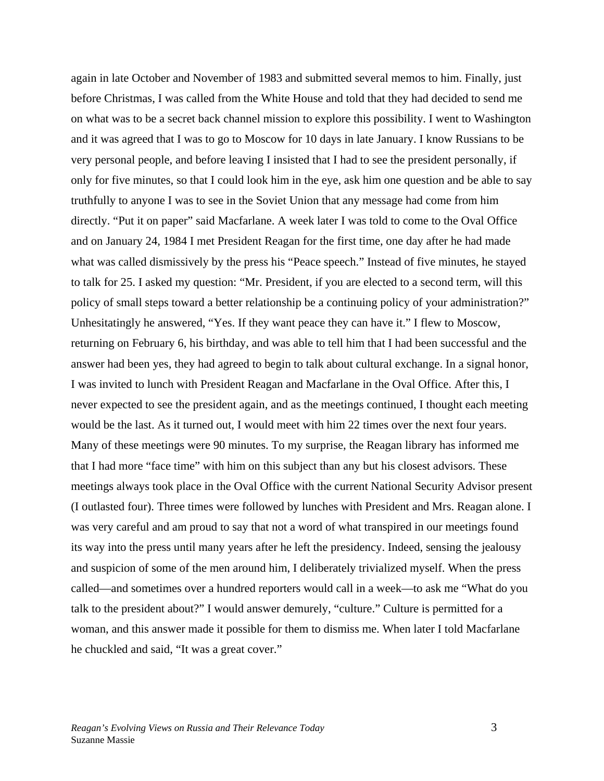again in late October and November of 1983 and submitted several memos to him. Finally, just before Christmas, I was called from the White House and told that they had decided to send me on what was to be a secret back channel mission to explore this possibility. I went to Washington and it was agreed that I was to go to Moscow for 10 days in late January. I know Russians to be very personal people, and before leaving I insisted that I had to see the president personally, if only for five minutes, so that I could look him in the eye, ask him one question and be able to say truthfully to anyone I was to see in the Soviet Union that any message had come from him directly. "Put it on paper" said Macfarlane. A week later I was told to come to the Oval Office and on January 24, 1984 I met President Reagan for the first time, one day after he had made what was called dismissively by the press his "Peace speech." Instead of five minutes, he stayed to talk for 25. I asked my question: "Mr. President, if you are elected to a second term, will this policy of small steps toward a better relationship be a continuing policy of your administration?" Unhesitatingly he answered, "Yes. If they want peace they can have it." I flew to Moscow, returning on February 6, his birthday, and was able to tell him that I had been successful and the answer had been yes, they had agreed to begin to talk about cultural exchange. In a signal honor, I was invited to lunch with President Reagan and Macfarlane in the Oval Office. After this, I never expected to see the president again, and as the meetings continued, I thought each meeting would be the last. As it turned out, I would meet with him 22 times over the next four years. Many of these meetings were 90 minutes. To my surprise, the Reagan library has informed me that I had more "face time" with him on this subject than any but his closest advisors. These meetings always took place in the Oval Office with the current National Security Advisor present (I outlasted four). Three times were followed by lunches with President and Mrs. Reagan alone. I was very careful and am proud to say that not a word of what transpired in our meetings found its way into the press until many years after he left the presidency. Indeed, sensing the jealousy and suspicion of some of the men around him, I deliberately trivialized myself. When the press called—and sometimes over a hundred reporters would call in a week—to ask me "What do you talk to the president about?" I would answer demurely, "culture." Culture is permitted for a woman, and this answer made it possible for them to dismiss me. When later I told Macfarlane he chuckled and said, "It was a great cover."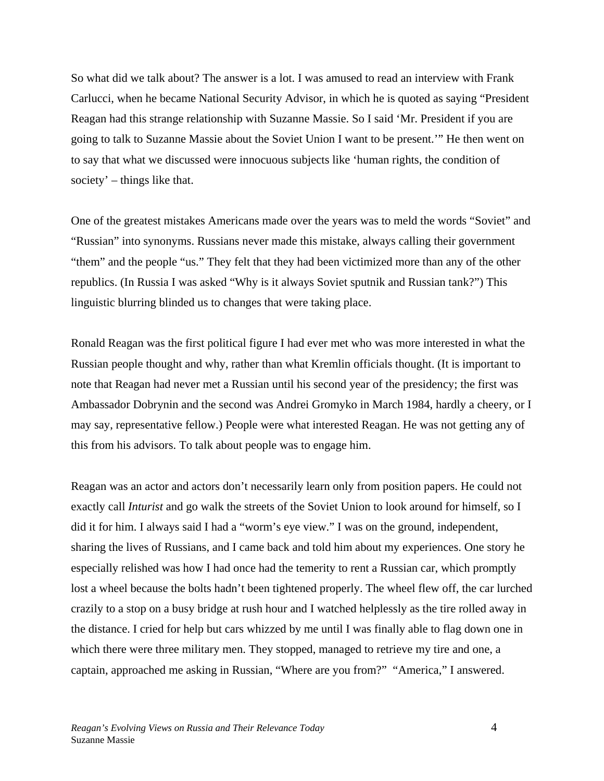So what did we talk about? The answer is a lot. I was amused to read an interview with Frank Carlucci, when he became National Security Advisor, in which he is quoted as saying "President Reagan had this strange relationship with Suzanne Massie. So I said 'Mr. President if you are going to talk to Suzanne Massie about the Soviet Union I want to be present.'" He then went on to say that what we discussed were innocuous subjects like 'human rights, the condition of society' – things like that.

One of the greatest mistakes Americans made over the years was to meld the words "Soviet" and "Russian" into synonyms. Russians never made this mistake, always calling their government "them" and the people "us." They felt that they had been victimized more than any of the other republics. (In Russia I was asked "Why is it always Soviet sputnik and Russian tank?") This linguistic blurring blinded us to changes that were taking place.

Ronald Reagan was the first political figure I had ever met who was more interested in what the Russian people thought and why, rather than what Kremlin officials thought. (It is important to note that Reagan had never met a Russian until his second year of the presidency; the first was Ambassador Dobrynin and the second was Andrei Gromyko in March 1984, hardly a cheery, or I may say, representative fellow.) People were what interested Reagan. He was not getting any of this from his advisors. To talk about people was to engage him.

Reagan was an actor and actors don't necessarily learn only from position papers. He could not exactly call *Inturist* and go walk the streets of the Soviet Union to look around for himself, so I did it for him. I always said I had a "worm's eye view." I was on the ground, independent, sharing the lives of Russians, and I came back and told him about my experiences. One story he especially relished was how I had once had the temerity to rent a Russian car, which promptly lost a wheel because the bolts hadn't been tightened properly. The wheel flew off, the car lurched crazily to a stop on a busy bridge at rush hour and I watched helplessly as the tire rolled away in the distance. I cried for help but cars whizzed by me until I was finally able to flag down one in which there were three military men. They stopped, managed to retrieve my tire and one, a captain, approached me asking in Russian, "Where are you from?" "America," I answered.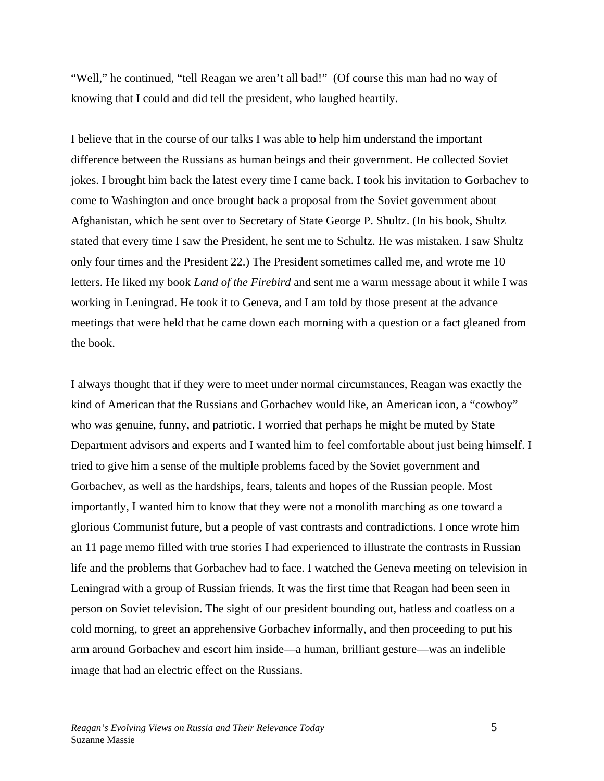"Well," he continued, "tell Reagan we aren't all bad!" (Of course this man had no way of knowing that I could and did tell the president, who laughed heartily.

I believe that in the course of our talks I was able to help him understand the important difference between the Russians as human beings and their government. He collected Soviet jokes. I brought him back the latest every time I came back. I took his invitation to Gorbachev to come to Washington and once brought back a proposal from the Soviet government about Afghanistan, which he sent over to Secretary of State George P. Shultz. (In his book, Shultz stated that every time I saw the President, he sent me to Schultz. He was mistaken. I saw Shultz only four times and the President 22.) The President sometimes called me, and wrote me 10 letters. He liked my book *Land of the Firebird* and sent me a warm message about it while I was working in Leningrad. He took it to Geneva, and I am told by those present at the advance meetings that were held that he came down each morning with a question or a fact gleaned from the book.

I always thought that if they were to meet under normal circumstances, Reagan was exactly the kind of American that the Russians and Gorbachev would like, an American icon, a "cowboy" who was genuine, funny, and patriotic. I worried that perhaps he might be muted by State Department advisors and experts and I wanted him to feel comfortable about just being himself. I tried to give him a sense of the multiple problems faced by the Soviet government and Gorbachev, as well as the hardships, fears, talents and hopes of the Russian people. Most importantly, I wanted him to know that they were not a monolith marching as one toward a glorious Communist future, but a people of vast contrasts and contradictions. I once wrote him an 11 page memo filled with true stories I had experienced to illustrate the contrasts in Russian life and the problems that Gorbachev had to face. I watched the Geneva meeting on television in Leningrad with a group of Russian friends. It was the first time that Reagan had been seen in person on Soviet television. The sight of our president bounding out, hatless and coatless on a cold morning, to greet an apprehensive Gorbachev informally, and then proceeding to put his arm around Gorbachev and escort him inside—a human, brilliant gesture—was an indelible image that had an electric effect on the Russians.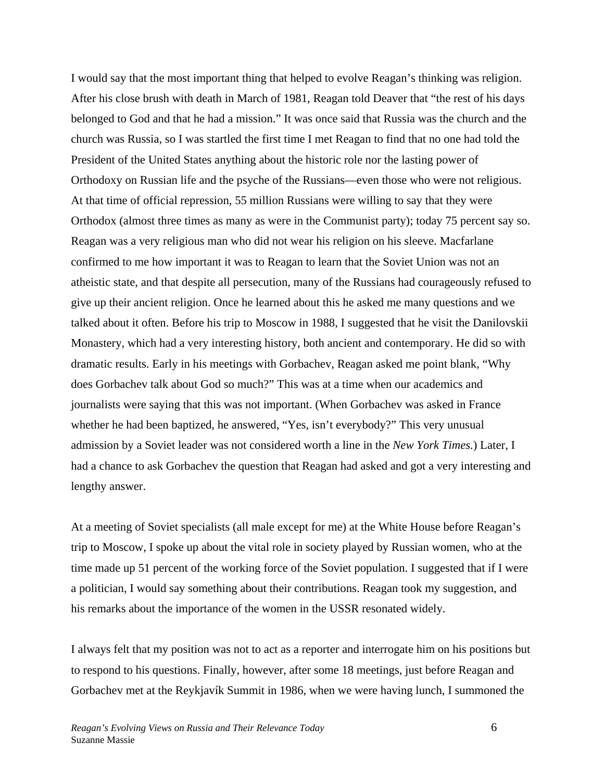I would say that the most important thing that helped to evolve Reagan's thinking was religion. After his close brush with death in March of 1981, Reagan told Deaver that "the rest of his days belonged to God and that he had a mission." It was once said that Russia was the church and the church was Russia, so I was startled the first time I met Reagan to find that no one had told the President of the United States anything about the historic role nor the lasting power of Orthodoxy on Russian life and the psyche of the Russians—even those who were not religious. At that time of official repression, 55 million Russians were willing to say that they were Orthodox (almost three times as many as were in the Communist party); today 75 percent say so. Reagan was a very religious man who did not wear his religion on his sleeve. Macfarlane confirmed to me how important it was to Reagan to learn that the Soviet Union was not an atheistic state, and that despite all persecution, many of the Russians had courageously refused to give up their ancient religion. Once he learned about this he asked me many questions and we talked about it often. Before his trip to Moscow in 1988, I suggested that he visit the Danilovskii Monastery, which had a very interesting history, both ancient and contemporary. He did so with dramatic results. Early in his meetings with Gorbachev, Reagan asked me point blank, "Why does Gorbachev talk about God so much?" This was at a time when our academics and journalists were saying that this was not important. (When Gorbachev was asked in France whether he had been baptized, he answered, "Yes, isn't everybody?" This very unusual admission by a Soviet leader was not considered worth a line in the *New York Times.*) Later, I had a chance to ask Gorbachev the question that Reagan had asked and got a very interesting and lengthy answer.

At a meeting of Soviet specialists (all male except for me) at the White House before Reagan's trip to Moscow, I spoke up about the vital role in society played by Russian women, who at the time made up 51 percent of the working force of the Soviet population. I suggested that if I were a politician, I would say something about their contributions. Reagan took my suggestion, and his remarks about the importance of the women in the USSR resonated widely.

I always felt that my position was not to act as a reporter and interrogate him on his positions but to respond to his questions. Finally, however, after some 18 meetings, just before Reagan and Gorbachev met at the Reykjavík Summit in 1986, when we were having lunch, I summoned the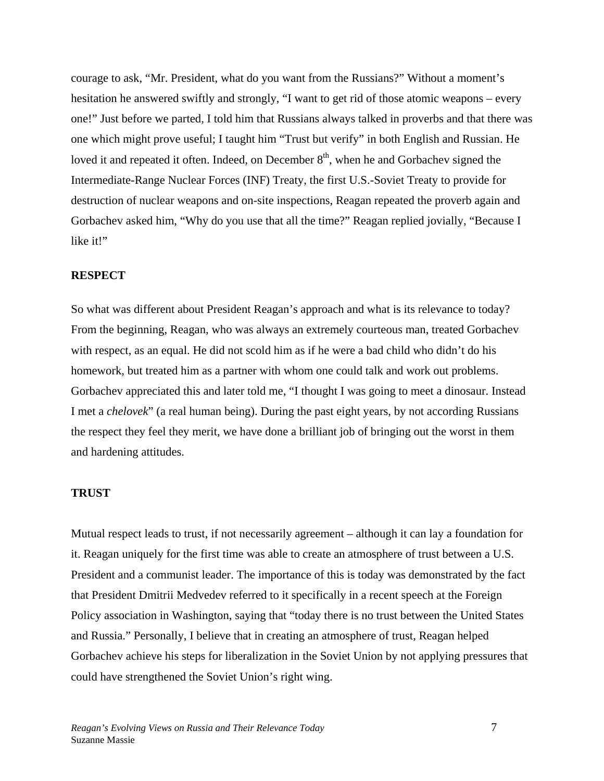courage to ask, "Mr. President, what do you want from the Russians?" Without a moment's hesitation he answered swiftly and strongly, "I want to get rid of those atomic weapons – every one!" Just before we parted, I told him that Russians always talked in proverbs and that there was one which might prove useful; I taught him "Trust but verify" in both English and Russian. He loved it and repeated it often. Indeed, on December  $8<sup>th</sup>$ , when he and Gorbachev signed the Intermediate-Range Nuclear Forces (INF) Treaty, the first U.S.-Soviet Treaty to provide for destruction of nuclear weapons and on-site inspections, Reagan repeated the proverb again and Gorbachev asked him, "Why do you use that all the time?" Reagan replied jovially, "Because I like it!"

### **RESPECT**

So what was different about President Reagan's approach and what is its relevance to today? From the beginning, Reagan, who was always an extremely courteous man, treated Gorbachev with respect, as an equal. He did not scold him as if he were a bad child who didn't do his homework, but treated him as a partner with whom one could talk and work out problems. Gorbachev appreciated this and later told me, "I thought I was going to meet a dinosaur. Instead I met a *chelovek*" (a real human being). During the past eight years, by not according Russians the respect they feel they merit, we have done a brilliant job of bringing out the worst in them and hardening attitudes.

### **TRUST**

Mutual respect leads to trust, if not necessarily agreement – although it can lay a foundation for it. Reagan uniquely for the first time was able to create an atmosphere of trust between a U.S. President and a communist leader. The importance of this is today was demonstrated by the fact that President Dmitrii Medvedev referred to it specifically in a recent speech at the Foreign Policy association in Washington, saying that "today there is no trust between the United States and Russia." Personally, I believe that in creating an atmosphere of trust, Reagan helped Gorbachev achieve his steps for liberalization in the Soviet Union by not applying pressures that could have strengthened the Soviet Union's right wing.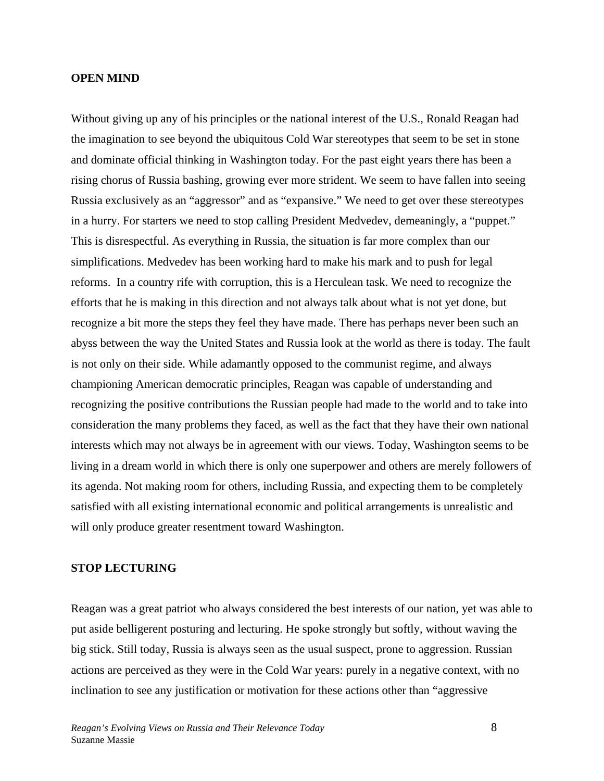#### **OPEN MIND**

Without giving up any of his principles or the national interest of the U.S., Ronald Reagan had the imagination to see beyond the ubiquitous Cold War stereotypes that seem to be set in stone and dominate official thinking in Washington today. For the past eight years there has been a rising chorus of Russia bashing, growing ever more strident. We seem to have fallen into seeing Russia exclusively as an "aggressor" and as "expansive." We need to get over these stereotypes in a hurry. For starters we need to stop calling President Medvedev, demeaningly, a "puppet." This is disrespectful. As everything in Russia, the situation is far more complex than our simplifications. Medvedev has been working hard to make his mark and to push for legal reforms. In a country rife with corruption, this is a Herculean task. We need to recognize the efforts that he is making in this direction and not always talk about what is not yet done, but recognize a bit more the steps they feel they have made. There has perhaps never been such an abyss between the way the United States and Russia look at the world as there is today. The fault is not only on their side. While adamantly opposed to the communist regime, and always championing American democratic principles, Reagan was capable of understanding and recognizing the positive contributions the Russian people had made to the world and to take into consideration the many problems they faced, as well as the fact that they have their own national interests which may not always be in agreement with our views. Today, Washington seems to be living in a dream world in which there is only one superpower and others are merely followers of its agenda. Not making room for others, including Russia, and expecting them to be completely satisfied with all existing international economic and political arrangements is unrealistic and will only produce greater resentment toward Washington.

### **STOP LECTURING**

Reagan was a great patriot who always considered the best interests of our nation, yet was able to put aside belligerent posturing and lecturing. He spoke strongly but softly, without waving the big stick. Still today, Russia is always seen as the usual suspect, prone to aggression. Russian actions are perceived as they were in the Cold War years: purely in a negative context, with no inclination to see any justification or motivation for these actions other than "aggressive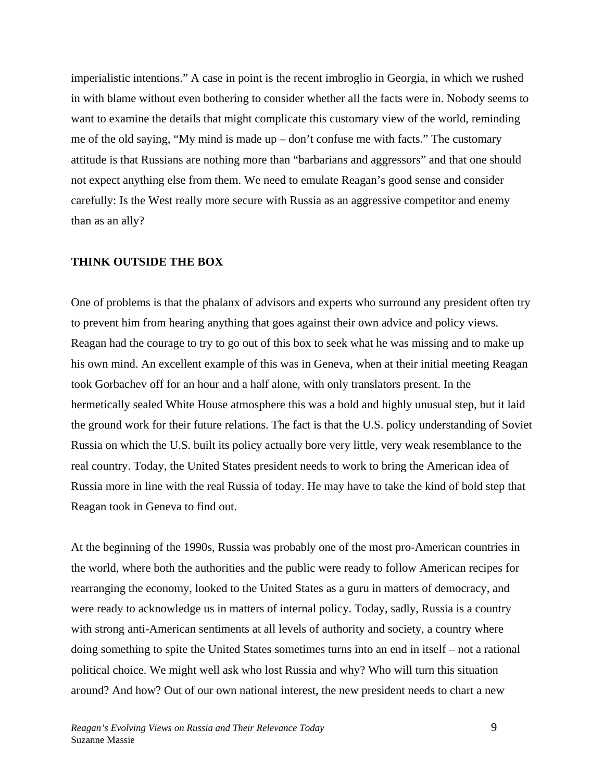imperialistic intentions." A case in point is the recent imbroglio in Georgia, in which we rushed in with blame without even bothering to consider whether all the facts were in. Nobody seems to want to examine the details that might complicate this customary view of the world, reminding me of the old saying, "My mind is made up – don't confuse me with facts." The customary attitude is that Russians are nothing more than "barbarians and aggressors" and that one should not expect anything else from them. We need to emulate Reagan's good sense and consider carefully: Is the West really more secure with Russia as an aggressive competitor and enemy than as an ally?

### **THINK OUTSIDE THE BOX**

One of problems is that the phalanx of advisors and experts who surround any president often try to prevent him from hearing anything that goes against their own advice and policy views. Reagan had the courage to try to go out of this box to seek what he was missing and to make up his own mind. An excellent example of this was in Geneva, when at their initial meeting Reagan took Gorbachev off for an hour and a half alone, with only translators present. In the hermetically sealed White House atmosphere this was a bold and highly unusual step, but it laid the ground work for their future relations. The fact is that the U.S. policy understanding of Soviet Russia on which the U.S. built its policy actually bore very little, very weak resemblance to the real country. Today, the United States president needs to work to bring the American idea of Russia more in line with the real Russia of today. He may have to take the kind of bold step that Reagan took in Geneva to find out.

At the beginning of the 1990s, Russia was probably one of the most pro-American countries in the world, where both the authorities and the public were ready to follow American recipes for rearranging the economy, looked to the United States as a guru in matters of democracy, and were ready to acknowledge us in matters of internal policy. Today, sadly, Russia is a country with strong anti-American sentiments at all levels of authority and society, a country where doing something to spite the United States sometimes turns into an end in itself – not a rational political choice. We might well ask who lost Russia and why? Who will turn this situation around? And how? Out of our own national interest, the new president needs to chart a new